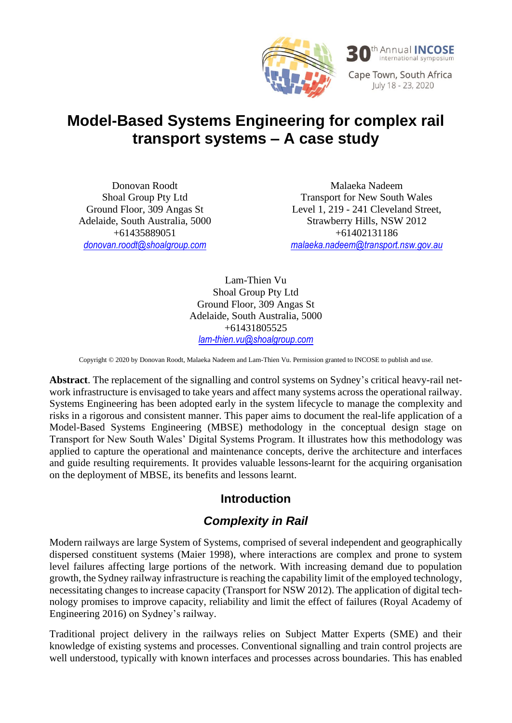

th Annual **INCOSE** international symposium Cape Town, South Africa July 18 - 23, 2020

# **Model-Based Systems Engineering for complex rail transport systems – A case study**

Donovan Roodt Shoal Group Pty Ltd Ground Floor, 309 Angas St Adelaide, South Australia, 5000 +61435889051 *donovan.roodt@shoalgroup.com*

Malaeka Nadeem Transport for New South Wales Level 1, 219 - 241 Cleveland Street, Strawberry Hills, NSW 2012 +61402131186 *malaeka.nadeem@transport.nsw.gov.au*

Lam-Thien Vu Shoal Group Pty Ltd Ground Floor, 309 Angas St Adelaide, South Australia, 5000 +61431805525 *lam-thien.vu@shoalgroup.com*

Copyright © 2020 by Donovan Roodt, Malaeka Nadeem and Lam-Thien Vu. Permission granted to INCOSE to publish and use.

**Abstract**. The replacement of the signalling and control systems on Sydney's critical heavy-rail network infrastructure is envisaged to take years and affect many systems across the operational railway. Systems Engineering has been adopted early in the system lifecycle to manage the complexity and risks in a rigorous and consistent manner. This paper aims to document the real-life application of a Model-Based Systems Engineering (MBSE) methodology in the conceptual design stage on Transport for New South Wales' Digital Systems Program. It illustrates how this methodology was applied to capture the operational and maintenance concepts, derive the architecture and interfaces and guide resulting requirements. It provides valuable lessons-learnt for the acquiring organisation on the deployment of MBSE, its benefits and lessons learnt.

#### **Introduction**

### *Complexity in Rail*

Modern railways are large System of Systems, comprised of several independent and geographically dispersed constituent systems (Maier 1998), where interactions are complex and prone to system level failures affecting large portions of the network. With increasing demand due to population growth, the Sydney railway infrastructure is reaching the capability limit of the employed technology, necessitating changes to increase capacity (Transport for NSW 2012). The application of digital technology promises to improve capacity, reliability and limit the effect of failures (Royal Academy of Engineering 2016) on Sydney's railway.

Traditional project delivery in the railways relies on Subject Matter Experts (SME) and their knowledge of existing systems and processes. Conventional signalling and train control projects are well understood, typically with known interfaces and processes across boundaries. This has enabled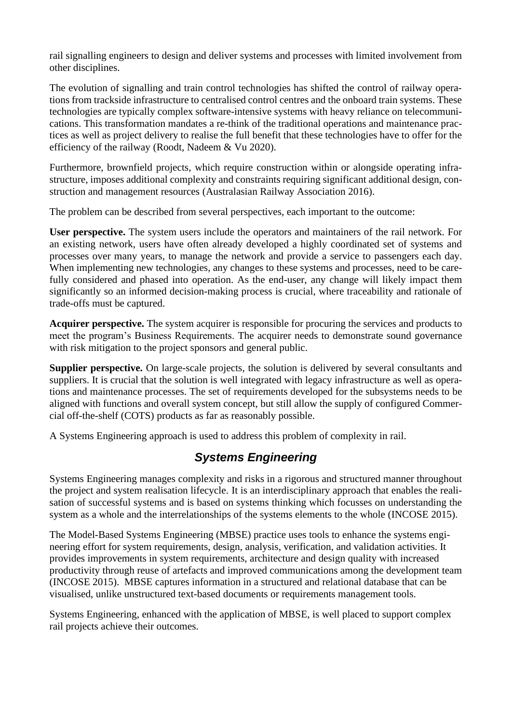rail signalling engineers to design and deliver systems and processes with limited involvement from other disciplines.

The evolution of signalling and train control technologies has shifted the control of railway operations from trackside infrastructure to centralised control centres and the onboard train systems. These technologies are typically complex software-intensive systems with heavy reliance on telecommunications. This transformation mandates a re-think of the traditional operations and maintenance practices as well as project delivery to realise the full benefit that these technologies have to offer for the efficiency of the railway (Roodt, Nadeem & Vu 2020).

Furthermore, brownfield projects, which require construction within or alongside operating infrastructure, imposes additional complexity and constraints requiring significant additional design, construction and management resources (Australasian Railway Association 2016).

The problem can be described from several perspectives, each important to the outcome:

**User perspective.** The system users include the operators and maintainers of the rail network. For an existing network, users have often already developed a highly coordinated set of systems and processes over many years, to manage the network and provide a service to passengers each day. When implementing new technologies, any changes to these systems and processes, need to be carefully considered and phased into operation. As the end-user, any change will likely impact them significantly so an informed decision-making process is crucial, where traceability and rationale of trade-offs must be captured.

**Acquirer perspective.** The system acquirer is responsible for procuring the services and products to meet the program's Business Requirements. The acquirer needs to demonstrate sound governance with risk mitigation to the project sponsors and general public.

**Supplier perspective.** On large-scale projects, the solution is delivered by several consultants and suppliers. It is crucial that the solution is well integrated with legacy infrastructure as well as operations and maintenance processes. The set of requirements developed for the subsystems needs to be aligned with functions and overall system concept, but still allow the supply of configured Commercial off-the-shelf (COTS) products as far as reasonably possible.

A Systems Engineering approach is used to address this problem of complexity in rail.

### *Systems Engineering*

Systems Engineering manages complexity and risks in a rigorous and structured manner throughout the project and system realisation lifecycle. It is an interdisciplinary approach that enables the realisation of successful systems and is based on systems thinking which focusses on understanding the system as a whole and the interrelationships of the systems elements to the whole (INCOSE 2015).

The Model-Based Systems Engineering (MBSE) practice uses tools to enhance the systems engineering effort for system requirements, design, analysis, verification, and validation activities. It provides improvements in system requirements, architecture and design quality with increased productivity through reuse of artefacts and improved communications among the development team (INCOSE 2015). MBSE captures information in a structured and relational database that can be visualised, unlike unstructured text-based documents or requirements management tools.

Systems Engineering, enhanced with the application of MBSE, is well placed to support complex rail projects achieve their outcomes.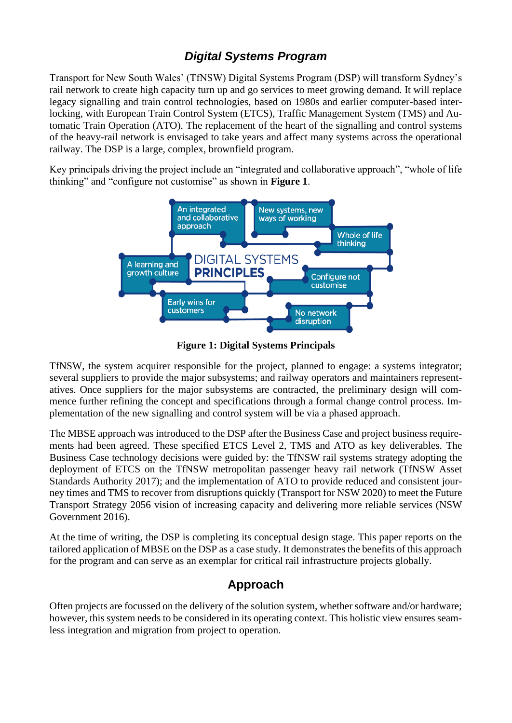# *Digital Systems Program*

Transport for New South Wales' (TfNSW) Digital Systems Program (DSP) will transform Sydney's rail network to create high capacity turn up and go services to meet growing demand. It will replace legacy signalling and train control technologies, based on 1980s and earlier computer-based interlocking, with European Train Control System (ETCS), Traffic Management System (TMS) and Automatic Train Operation (ATO). The replacement of the heart of the signalling and control systems of the heavy-rail network is envisaged to take years and affect many systems across the operational railway. The DSP is a large, complex, brownfield program.

Key principals driving the project include an "integrated and collaborative approach", "whole of life thinking" and "configure not customise" as shown in **[Figure 1](#page-2-0)**.



**Figure 1: Digital Systems Principals**

<span id="page-2-0"></span>TfNSW, the system acquirer responsible for the project, planned to engage: a systems integrator; several suppliers to provide the major subsystems; and railway operators and maintainers representatives. Once suppliers for the major subsystems are contracted, the preliminary design will commence further refining the concept and specifications through a formal change control process. Implementation of the new signalling and control system will be via a phased approach.

The MBSE approach was introduced to the DSP after the Business Case and project business requirements had been agreed. These specified ETCS Level 2, TMS and ATO as key deliverables. The Business Case technology decisions were guided by: the TfNSW rail systems strategy adopting the deployment of ETCS on the TfNSW metropolitan passenger heavy rail network (TfNSW Asset Standards Authority 2017); and the implementation of ATO to provide reduced and consistent journey times and TMS to recover from disruptions quickly (Transport for NSW 2020) to meet the Future Transport Strategy 2056 vision of increasing capacity and delivering more reliable services (NSW Government 2016).

At the time of writing, the DSP is completing its conceptual design stage. This paper reports on the tailored application of MBSE on the DSP as a case study. It demonstrates the benefits of this approach for the program and can serve as an exemplar for critical rail infrastructure projects globally.

## **Approach**

Often projects are focussed on the delivery of the solution system, whether software and/or hardware; however, this system needs to be considered in its operating context. This holistic view ensures seamless integration and migration from project to operation.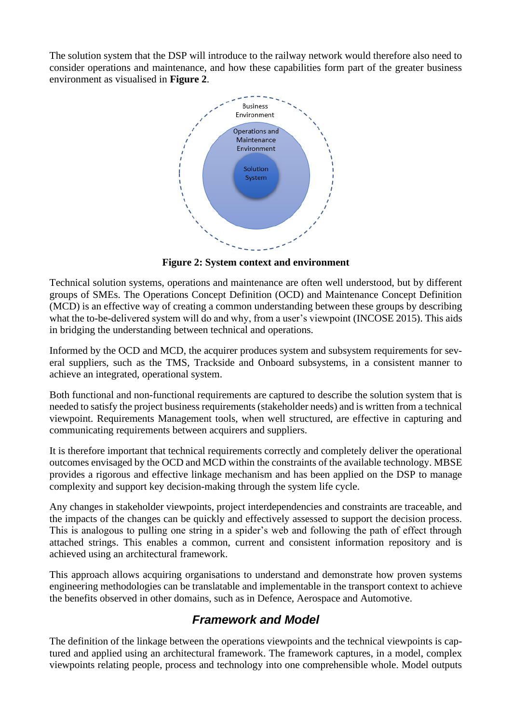The solution system that the DSP will introduce to the railway network would therefore also need to consider operations and maintenance, and how these capabilities form part of the greater business environment as visualised in **[Figure 2](#page-3-0)**.



**Figure 2: System context and environment**

<span id="page-3-0"></span>Technical solution systems, operations and maintenance are often well understood, but by different groups of SMEs. The Operations Concept Definition (OCD) and Maintenance Concept Definition (MCD) is an effective way of creating a common understanding between these groups by describing what the to-be-delivered system will do and why, from a user's viewpoint (INCOSE 2015). This aids in bridging the understanding between technical and operations.

Informed by the OCD and MCD, the acquirer produces system and subsystem requirements for several suppliers, such as the TMS, Trackside and Onboard subsystems, in a consistent manner to achieve an integrated, operational system.

Both functional and non-functional requirements are captured to describe the solution system that is needed to satisfy the project business requirements (stakeholder needs) and is written from a technical viewpoint. Requirements Management tools, when well structured, are effective in capturing and communicating requirements between acquirers and suppliers.

It is therefore important that technical requirements correctly and completely deliver the operational outcomes envisaged by the OCD and MCD within the constraints of the available technology. MBSE provides a rigorous and effective linkage mechanism and has been applied on the DSP to manage complexity and support key decision-making through the system life cycle.

Any changes in stakeholder viewpoints, project interdependencies and constraints are traceable, and the impacts of the changes can be quickly and effectively assessed to support the decision process. This is analogous to pulling one string in a spider's web and following the path of effect through attached strings. This enables a common, current and consistent information repository and is achieved using an architectural framework.

This approach allows acquiring organisations to understand and demonstrate how proven systems engineering methodologies can be translatable and implementable in the transport context to achieve the benefits observed in other domains, such as in Defence, Aerospace and Automotive.

# *Framework and Model*

The definition of the linkage between the operations viewpoints and the technical viewpoints is captured and applied using an architectural framework. The framework captures, in a model, complex viewpoints relating people, process and technology into one comprehensible whole. Model outputs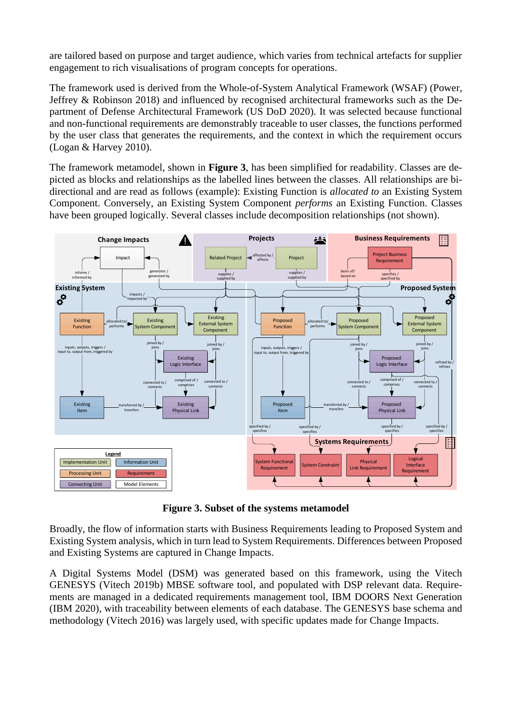are tailored based on purpose and target audience, which varies from technical artefacts for supplier engagement to rich visualisations of program concepts for operations.

The framework used is derived from the Whole-of-System Analytical Framework (WSAF) (Power, Jeffrey & Robinson 2018) and influenced by recognised architectural frameworks such as the Department of Defense Architectural Framework (US DoD 2020). It was selected because functional and non-functional requirements are demonstrably traceable to user classes, the functions performed by the user class that generates the requirements, and the context in which the requirement occurs (Logan & Harvey 2010).

The framework metamodel, shown in **[Figure 3](#page-4-0)**, has been simplified for readability. Classes are depicted as blocks and relationships as the labelled lines between the classes. All relationships are bidirectional and are read as follows (example): Existing Function is *allocated to* an Existing System Component. Conversely, an Existing System Component *performs* an Existing Function. Classes have been grouped logically. Several classes include decomposition relationships (not shown).



**Figure 3. Subset of the systems metamodel**

<span id="page-4-0"></span>Broadly, the flow of information starts with Business Requirements leading to Proposed System and Existing System analysis, which in turn lead to System Requirements. Differences between Proposed and Existing Systems are captured in Change Impacts.

A Digital Systems Model (DSM) was generated based on this framework, using the Vitech GENESYS (Vitech 2019b) MBSE software tool, and populated with DSP relevant data. Requirements are managed in a dedicated requirements management tool, IBM DOORS Next Generation (IBM 2020), with traceability between elements of each database. The GENESYS base schema and methodology (Vitech 2016) was largely used, with specific updates made for Change Impacts.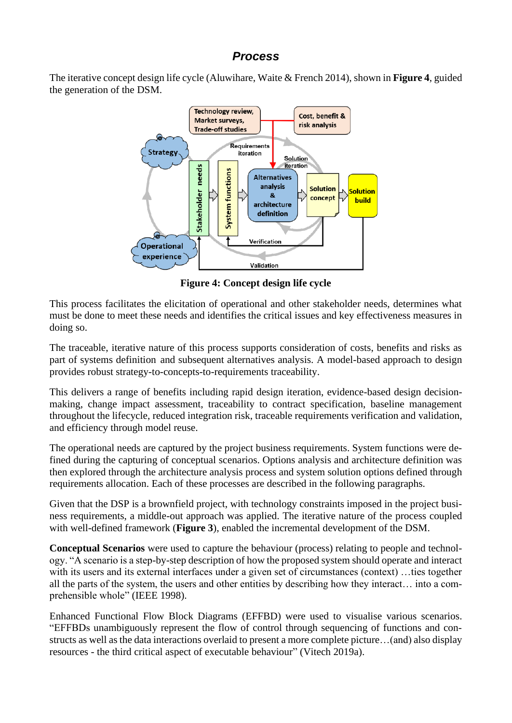#### *Process*

The iterative concept design life cycle (Aluwihare, Waite & French 2014), shown in **[Figure 4](#page-5-0)**, guided the generation of the DSM.



**Figure 4: Concept design life cycle**

<span id="page-5-0"></span>This process facilitates the elicitation of operational and other stakeholder needs, determines what must be done to meet these needs and identifies the critical issues and key effectiveness measures in doing so.

The traceable, iterative nature of this process supports consideration of costs, benefits and risks as part of systems definition and subsequent alternatives analysis. A model-based approach to design provides robust strategy-to-concepts-to-requirements traceability.

This delivers a range of benefits including rapid design iteration, evidence-based design decisionmaking, change impact assessment, traceability to contract specification, baseline management throughout the lifecycle, reduced integration risk, traceable requirements verification and validation, and efficiency through model reuse.

The operational needs are captured by the project business requirements. System functions were defined during the capturing of conceptual scenarios. Options analysis and architecture definition was then explored through the architecture analysis process and system solution options defined through requirements allocation. Each of these processes are described in the following paragraphs.

Given that the DSP is a brownfield project, with technology constraints imposed in the project business requirements, a middle-out approach was applied. The iterative nature of the process coupled with well-defined framework (**[Figure 3](#page-4-0)**), enabled the incremental development of the DSM.

**Conceptual Scenarios** were used to capture the behaviour (process) relating to people and technology. "A scenario is a step-by-step description of how the proposed system should operate and interact with its users and its external interfaces under a given set of circumstances (context) …ties together all the parts of the system, the users and other entities by describing how they interact… into a comprehensible whole" (IEEE 1998).

Enhanced Functional Flow Block Diagrams (EFFBD) were used to visualise various scenarios. "EFFBDs unambiguously represent the flow of control through sequencing of functions and constructs as well as the data interactions overlaid to present a more complete picture…(and) also display resources - the third critical aspect of executable behaviour" (Vitech 2019a).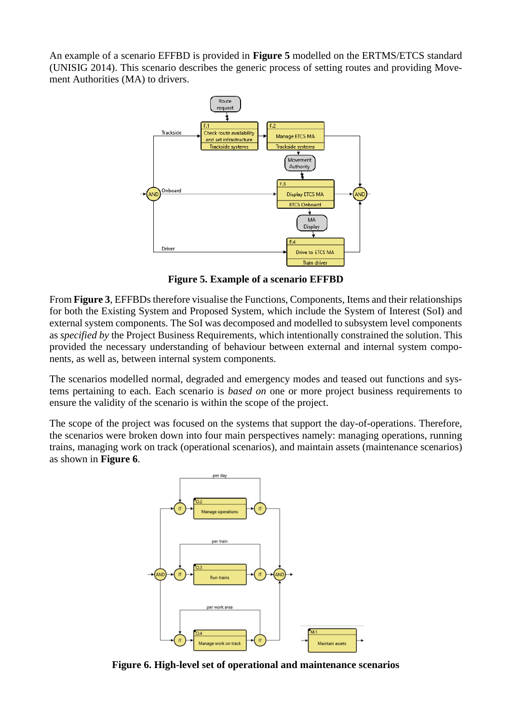An example of a scenario EFFBD is provided in **[Figure 5](#page-6-0)** modelled on the ERTMS/ETCS standard (UNISIG 2014). This scenario describes the generic process of setting routes and providing Movement Authorities (MA) to drivers.



**Figure 5. Example of a scenario EFFBD**

<span id="page-6-0"></span>From **[Figure 3](#page-4-0)**, EFFBDs therefore visualise the Functions, Components, Items and their relationships for both the Existing System and Proposed System, which include the System of Interest (SoI) and external system components. The SoI was decomposed and modelled to subsystem level components as *specified by* the Project Business Requirements, which intentionally constrained the solution. This provided the necessary understanding of behaviour between external and internal system components, as well as, between internal system components.

The scenarios modelled normal, degraded and emergency modes and teased out functions and systems pertaining to each. Each scenario is *based on* one or more project business requirements to ensure the validity of the scenario is within the scope of the project.

The scope of the project was focused on the systems that support the day-of-operations. Therefore, the scenarios were broken down into four main perspectives namely: managing operations, running trains, managing work on track (operational scenarios), and maintain assets (maintenance scenarios) as shown in **[Figure 6](#page-6-1)**.



<span id="page-6-1"></span>**Figure 6. High-level set of operational and maintenance scenarios**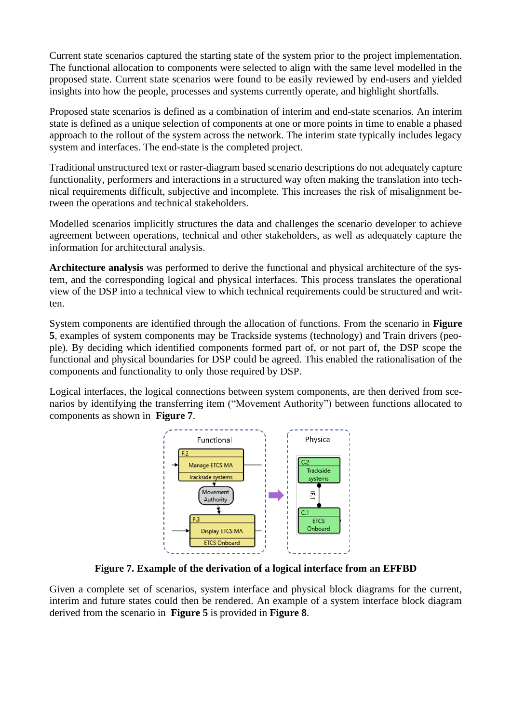Current state scenarios captured the starting state of the system prior to the project implementation. The functional allocation to components were selected to align with the same level modelled in the proposed state. Current state scenarios were found to be easily reviewed by end-users and yielded insights into how the people, processes and systems currently operate, and highlight shortfalls.

Proposed state scenarios is defined as a combination of interim and end-state scenarios. An interim state is defined as a unique selection of components at one or more points in time to enable a phased approach to the rollout of the system across the network. The interim state typically includes legacy system and interfaces. The end-state is the completed project.

Traditional unstructured text or raster-diagram based scenario descriptions do not adequately capture functionality, performers and interactions in a structured way often making the translation into technical requirements difficult, subjective and incomplete. This increases the risk of misalignment between the operations and technical stakeholders.

Modelled scenarios implicitly structures the data and challenges the scenario developer to achieve agreement between operations, technical and other stakeholders, as well as adequately capture the information for architectural analysis.

**Architecture analysis** was performed to derive the functional and physical architecture of the system, and the corresponding logical and physical interfaces. This process translates the operational view of the DSP into a technical view to which technical requirements could be structured and written.

System components are identified through the allocation of functions. From the scenario in **[Figure](#page-6-0)  [5](#page-6-0)**, examples of system components may be Trackside systems (technology) and Train drivers (people). By deciding which identified components formed part of, or not part of, the DSP scope the functional and physical boundaries for DSP could be agreed. This enabled the rationalisation of the components and functionality to only those required by DSP.

Logical interfaces, the logical connections between system components, are then derived from scenarios by identifying the transferring item ("Movement Authority") between functions allocated to components as shown in **[Figure 7](#page-7-0)**.



**Figure 7. Example of the derivation of a logical interface from an EFFBD**

<span id="page-7-0"></span>Given a complete set of scenarios, system interface and physical block diagrams for the current, interim and future states could then be rendered. An example of a system interface block diagram derived from the scenario in **[Figure 5](#page-6-0)** is provided in **[Figure 8](#page-8-0)**.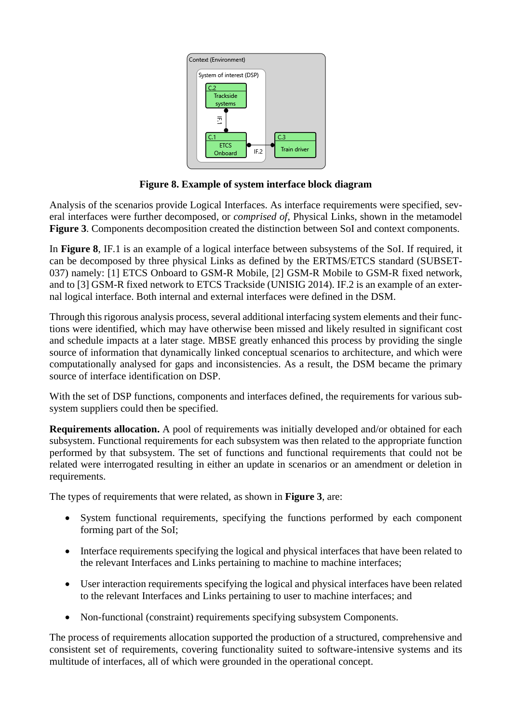

**Figure 8. Example of system interface block diagram**

<span id="page-8-0"></span>Analysis of the scenarios provide Logical Interfaces. As interface requirements were specified, several interfaces were further decomposed, or *comprised of*, Physical Links, shown in the metamodel **[Figure 3](#page-4-0)**. Components decomposition created the distinction between SoI and context components.

In **[Figure 8](#page-8-0)**, IF.1 is an example of a logical interface between subsystems of the SoI. If required, it can be decomposed by three physical Links as defined by the ERTMS/ETCS standard (SUBSET-037) namely: [1] ETCS Onboard to GSM-R Mobile, [2] GSM-R Mobile to GSM-R fixed network, and to [3] GSM-R fixed network to ETCS Trackside (UNISIG 2014). IF.2 is an example of an external logical interface. Both internal and external interfaces were defined in the DSM.

Through this rigorous analysis process, several additional interfacing system elements and their functions were identified, which may have otherwise been missed and likely resulted in significant cost and schedule impacts at a later stage. MBSE greatly enhanced this process by providing the single source of information that dynamically linked conceptual scenarios to architecture, and which were computationally analysed for gaps and inconsistencies. As a result, the DSM became the primary source of interface identification on DSP.

With the set of DSP functions, components and interfaces defined, the requirements for various subsystem suppliers could then be specified.

**Requirements allocation.** A pool of requirements was initially developed and/or obtained for each subsystem. Functional requirements for each subsystem was then related to the appropriate function performed by that subsystem. The set of functions and functional requirements that could not be related were interrogated resulting in either an update in scenarios or an amendment or deletion in requirements.

The types of requirements that were related, as shown in **[Figure 3](#page-4-0)**, are:

- System functional requirements, specifying the functions performed by each component forming part of the SoI;
- Interface requirements specifying the logical and physical interfaces that have been related to the relevant Interfaces and Links pertaining to machine to machine interfaces;
- User interaction requirements specifying the logical and physical interfaces have been related to the relevant Interfaces and Links pertaining to user to machine interfaces; and
- Non-functional (constraint) requirements specifying subsystem Components.

The process of requirements allocation supported the production of a structured, comprehensive and consistent set of requirements, covering functionality suited to software-intensive systems and its multitude of interfaces, all of which were grounded in the operational concept.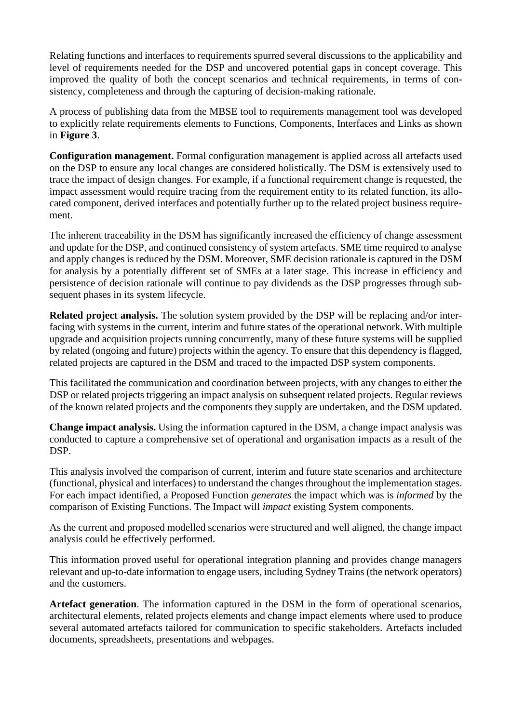Relating functions and interfaces to requirements spurred several discussions to the applicability and level of requirements needed for the DSP and uncovered potential gaps in concept coverage. This improved the quality of both the concept scenarios and technical requirements, in terms of consistency, completeness and through the capturing of decision-making rationale.

A process of publishing data from the MBSE tool to requirements management tool was developed to explicitly relate requirements elements to Functions, Components, Interfaces and Links as shown in **[Figure 3](#page-4-0)**.

**Configuration management.** Formal configuration management is applied across all artefacts used on the DSP to ensure any local changes are considered holistically. The DSM is extensively used to trace the impact of design changes. For example, if a functional requirement change is requested, the impact assessment would require tracing from the requirement entity to its related function, its allocated component, derived interfaces and potentially further up to the related project business requirement.

The inherent traceability in the DSM has significantly increased the efficiency of change assessment and update for the DSP, and continued consistency of system artefacts. SME time required to analyse and apply changes is reduced by the DSM. Moreover, SME decision rationale is captured in the DSM for analysis by a potentially different set of SMEs at a later stage. This increase in efficiency and persistence of decision rationale will continue to pay dividends as the DSP progresses through subsequent phases in its system lifecycle.

**Related project analysis.** The solution system provided by the DSP will be replacing and/or interfacing with systems in the current, interim and future states of the operational network. With multiple upgrade and acquisition projects running concurrently, many of these future systems will be supplied by related (ongoing and future) projects within the agency. To ensure that this dependency is flagged, related projects are captured in the DSM and traced to the impacted DSP system components.

This facilitated the communication and coordination between projects, with any changes to either the DSP or related projects triggering an impact analysis on subsequent related projects. Regular reviews of the known related projects and the components they supply are undertaken, and the DSM updated.

**Change impact analysis.** Using the information captured in the DSM, a change impact analysis was conducted to capture a comprehensive set of operational and organisation impacts as a result of the DSP.

This analysis involved the comparison of current, interim and future state scenarios and architecture (functional, physical and interfaces) to understand the changes throughout the implementation stages. For each impact identified, a Proposed Function *generates* the impact which was is *informed* by the comparison of Existing Functions. The Impact will *impact* existing System components.

As the current and proposed modelled scenarios were structured and well aligned, the change impact analysis could be effectively performed.

This information proved useful for operational integration planning and provides change managers relevant and up-to-date information to engage users, including Sydney Trains (the network operators) and the customers.

**Artefact generation**. The information captured in the DSM in the form of operational scenarios, architectural elements, related projects elements and change impact elements where used to produce several automated artefacts tailored for communication to specific stakeholders. Artefacts included documents, spreadsheets, presentations and webpages.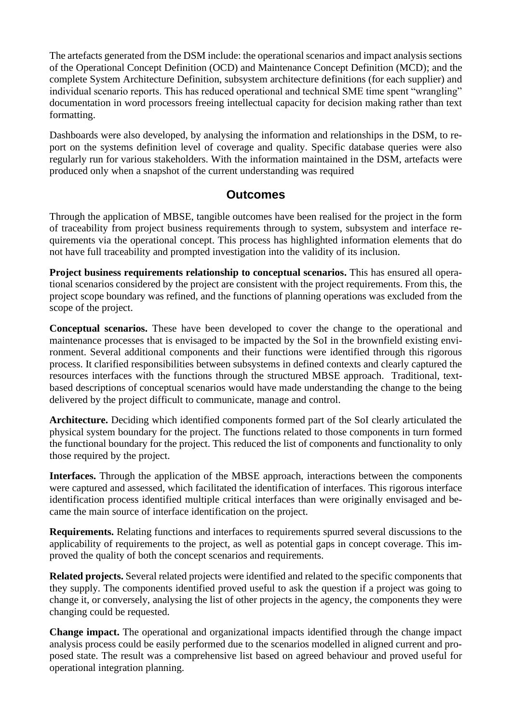The artefacts generated from the DSM include: the operational scenarios and impact analysis sections of the Operational Concept Definition (OCD) and Maintenance Concept Definition (MCD); and the complete System Architecture Definition, subsystem architecture definitions (for each supplier) and individual scenario reports. This has reduced operational and technical SME time spent "wrangling" documentation in word processors freeing intellectual capacity for decision making rather than text formatting.

Dashboards were also developed, by analysing the information and relationships in the DSM, to report on the systems definition level of coverage and quality. Specific database queries were also regularly run for various stakeholders. With the information maintained in the DSM, artefacts were produced only when a snapshot of the current understanding was required

#### **Outcomes**

Through the application of MBSE, tangible outcomes have been realised for the project in the form of traceability from project business requirements through to system, subsystem and interface requirements via the operational concept. This process has highlighted information elements that do not have full traceability and prompted investigation into the validity of its inclusion.

**Project business requirements relationship to conceptual scenarios.** This has ensured all operational scenarios considered by the project are consistent with the project requirements. From this, the project scope boundary was refined, and the functions of planning operations was excluded from the scope of the project.

**Conceptual scenarios.** These have been developed to cover the change to the operational and maintenance processes that is envisaged to be impacted by the SoI in the brownfield existing environment. Several additional components and their functions were identified through this rigorous process. It clarified responsibilities between subsystems in defined contexts and clearly captured the resources interfaces with the functions through the structured MBSE approach. Traditional, textbased descriptions of conceptual scenarios would have made understanding the change to the being delivered by the project difficult to communicate, manage and control.

**Architecture.** Deciding which identified components formed part of the SoI clearly articulated the physical system boundary for the project. The functions related to those components in turn formed the functional boundary for the project. This reduced the list of components and functionality to only those required by the project.

**Interfaces.** Through the application of the MBSE approach, interactions between the components were captured and assessed, which facilitated the identification of interfaces. This rigorous interface identification process identified multiple critical interfaces than were originally envisaged and became the main source of interface identification on the project.

**Requirements.** Relating functions and interfaces to requirements spurred several discussions to the applicability of requirements to the project, as well as potential gaps in concept coverage. This improved the quality of both the concept scenarios and requirements.

**Related projects.** Several related projects were identified and related to the specific components that they supply. The components identified proved useful to ask the question if a project was going to change it, or conversely, analysing the list of other projects in the agency, the components they were changing could be requested.

**Change impact.** The operational and organizational impacts identified through the change impact analysis process could be easily performed due to the scenarios modelled in aligned current and proposed state. The result was a comprehensive list based on agreed behaviour and proved useful for operational integration planning.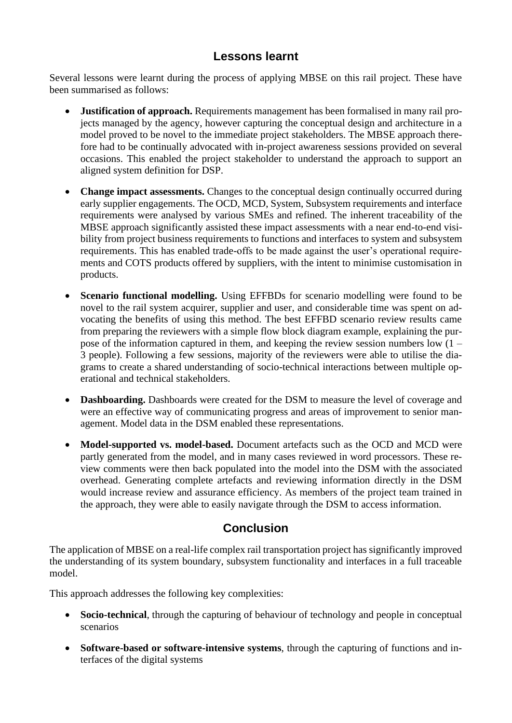## **Lessons learnt**

Several lessons were learnt during the process of applying MBSE on this rail project. These have been summarised as follows:

- **Justification of approach.** Requirements management has been formalised in many rail projects managed by the agency, however capturing the conceptual design and architecture in a model proved to be novel to the immediate project stakeholders. The MBSE approach therefore had to be continually advocated with in-project awareness sessions provided on several occasions. This enabled the project stakeholder to understand the approach to support an aligned system definition for DSP.
- **Change impact assessments.** Changes to the conceptual design continually occurred during early supplier engagements. The OCD, MCD, System, Subsystem requirements and interface requirements were analysed by various SMEs and refined. The inherent traceability of the MBSE approach significantly assisted these impact assessments with a near end-to-end visibility from project business requirements to functions and interfaces to system and subsystem requirements. This has enabled trade-offs to be made against the user's operational requirements and COTS products offered by suppliers, with the intent to minimise customisation in products.
- **Scenario functional modelling.** Using EFFBDs for scenario modelling were found to be novel to the rail system acquirer, supplier and user, and considerable time was spent on advocating the benefits of using this method. The best EFFBD scenario review results came from preparing the reviewers with a simple flow block diagram example, explaining the purpose of the information captured in them, and keeping the review session numbers low (1 – 3 people). Following a few sessions, majority of the reviewers were able to utilise the diagrams to create a shared understanding of socio-technical interactions between multiple operational and technical stakeholders.
- **Dashboarding.** Dashboards were created for the DSM to measure the level of coverage and were an effective way of communicating progress and areas of improvement to senior management. Model data in the DSM enabled these representations.
- **Model-supported vs. model-based.** Document artefacts such as the OCD and MCD were partly generated from the model, and in many cases reviewed in word processors. These review comments were then back populated into the model into the DSM with the associated overhead. Generating complete artefacts and reviewing information directly in the DSM would increase review and assurance efficiency. As members of the project team trained in the approach, they were able to easily navigate through the DSM to access information.

## **Conclusion**

The application of MBSE on a real-life complex rail transportation project has significantly improved the understanding of its system boundary, subsystem functionality and interfaces in a full traceable model.

This approach addresses the following key complexities:

- **Socio-technical**, through the capturing of behaviour of technology and people in conceptual scenarios
- **Software-based or software-intensive systems**, through the capturing of functions and interfaces of the digital systems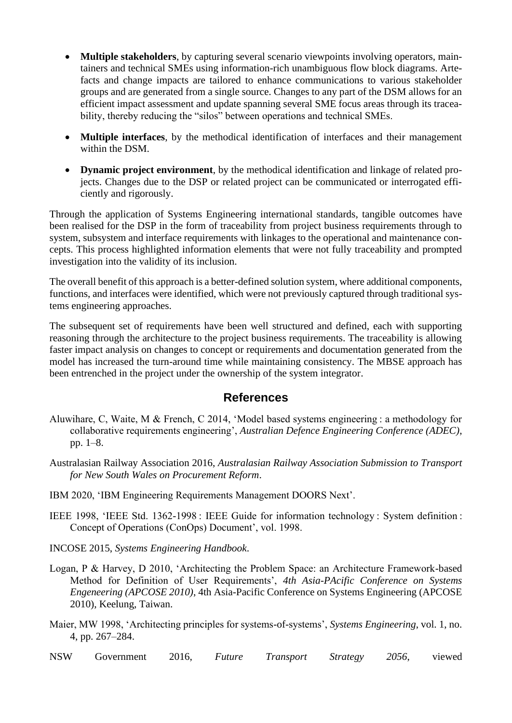- **Multiple stakeholders**, by capturing several scenario viewpoints involving operators, maintainers and technical SMEs using information-rich unambiguous flow block diagrams. Artefacts and change impacts are tailored to enhance communications to various stakeholder groups and are generated from a single source. Changes to any part of the DSM allows for an efficient impact assessment and update spanning several SME focus areas through its traceability, thereby reducing the "silos" between operations and technical SMEs.
- **Multiple interfaces**, by the methodical identification of interfaces and their management within the DSM.
- **Dynamic project environment**, by the methodical identification and linkage of related projects. Changes due to the DSP or related project can be communicated or interrogated efficiently and rigorously.

Through the application of Systems Engineering international standards, tangible outcomes have been realised for the DSP in the form of traceability from project business requirements through to system, subsystem and interface requirements with linkages to the operational and maintenance concepts. This process highlighted information elements that were not fully traceability and prompted investigation into the validity of its inclusion.

The overall benefit of this approach is a better-defined solution system, where additional components, functions, and interfaces were identified, which were not previously captured through traditional systems engineering approaches.

The subsequent set of requirements have been well structured and defined, each with supporting reasoning through the architecture to the project business requirements. The traceability is allowing faster impact analysis on changes to concept or requirements and documentation generated from the model has increased the turn-around time while maintaining consistency. The MBSE approach has been entrenched in the project under the ownership of the system integrator.

#### **References**

- Aluwihare, C, Waite, M & French, C 2014, 'Model based systems engineering : a methodology for collaborative requirements engineering', *Australian Defence Engineering Conference (ADEC)*, pp. 1–8.
- Australasian Railway Association 2016, *Australasian Railway Association Submission to Transport for New South Wales on Procurement Reform*.
- IBM 2020, 'IBM Engineering Requirements Management DOORS Next'.
- IEEE 1998, 'IEEE Std. 1362-1998 : IEEE Guide for information technology : System definition : Concept of Operations (ConOps) Document', vol. 1998.
- INCOSE 2015, *Systems Engineering Handbook*.
- Logan, P & Harvey, D 2010, 'Architecting the Problem Space: an Architecture Framework-based Method for Definition of User Requirements', *4th Asia-PAcific Conference on Systems Engeneering (APCOSE 2010)*, 4th Asia-Pacific Conference on Systems Engineering (APCOSE 2010), Keelung, Taiwan.
- Maier, MW 1998, 'Architecting principles for systems-of-systems', *Systems Engineering*, vol. 1, no. 4, pp. 267–284.
- NSW Government 2016, *Future Transport Strategy 2056*, viewed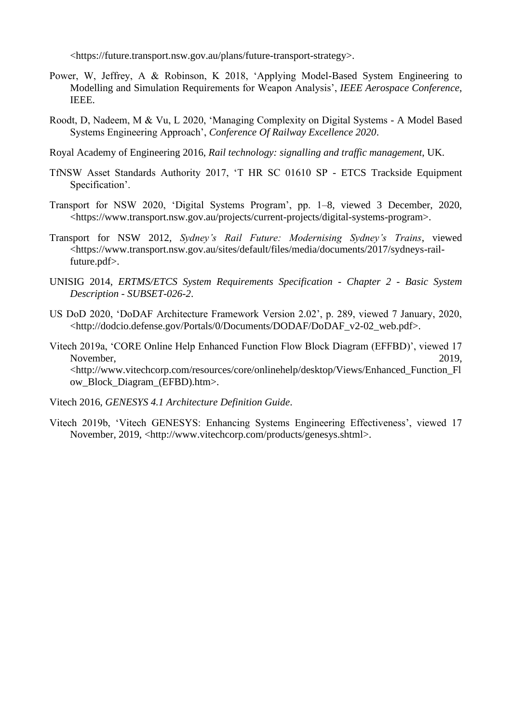<https://future.transport.nsw.gov.au/plans/future-transport-strategy>.

- Power, W, Jeffrey, A & Robinson, K 2018, 'Applying Model-Based System Engineering to Modelling and Simulation Requirements for Weapon Analysis', *IEEE Aerospace Conference*, IEEE.
- Roodt, D, Nadeem, M & Vu, L 2020, 'Managing Complexity on Digital Systems A Model Based Systems Engineering Approach', *Conference Of Railway Excellence 2020*.

Royal Academy of Engineering 2016, *Rail technology: signalling and traffic management*, UK.

- TfNSW Asset Standards Authority 2017, 'T HR SC 01610 SP ETCS Trackside Equipment Specification'.
- Transport for NSW 2020, 'Digital Systems Program', pp. 1–8, viewed 3 December, 2020, <https://www.transport.nsw.gov.au/projects/current-projects/digital-systems-program>.
- Transport for NSW 2012, *Sydney's Rail Future: Modernising Sydney's Trains*, viewed <https://www.transport.nsw.gov.au/sites/default/files/media/documents/2017/sydneys-railfuture.pdf>.
- UNISIG 2014, *ERTMS/ETCS System Requirements Specification - Chapter 2 - Basic System Description - SUBSET-026-2*.
- US DoD 2020, 'DoDAF Architecture Framework Version 2.02', p. 289, viewed 7 January, 2020, <http://dodcio.defense.gov/Portals/0/Documents/DODAF/DoDAF\_v2-02\_web.pdf>.
- Vitech 2019a, 'CORE Online Help Enhanced Function Flow Block Diagram (EFFBD)', viewed 17 November, 2019, <http://www.vitechcorp.com/resources/core/onlinehelp/desktop/Views/Enhanced\_Function\_Fl ow\_Block\_Diagram\_(EFBD).htm>.

Vitech 2016, *GENESYS 4.1 Architecture Definition Guide*.

Vitech 2019b, 'Vitech GENESYS: Enhancing Systems Engineering Effectiveness', viewed 17 November, 2019, <http://www.vitechcorp.com/products/genesys.shtml>.